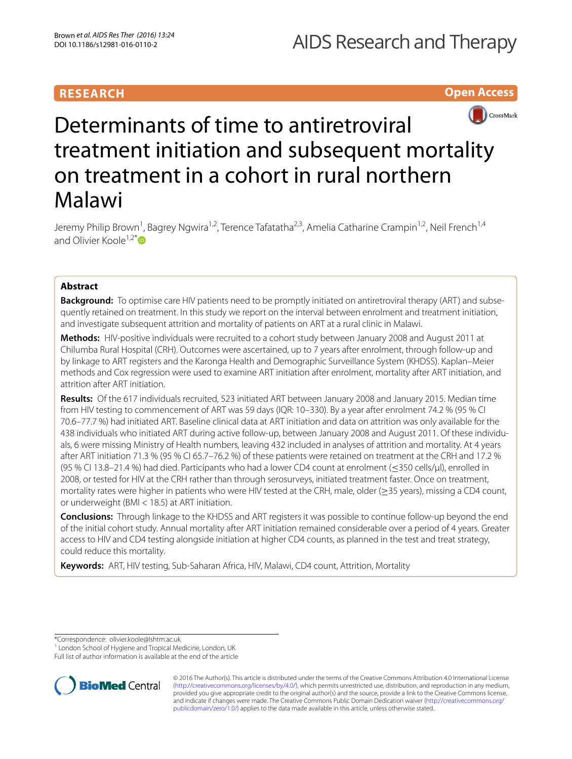# **RESEARCH**

**Open Access**



# Determinants of time to antiretroviral treatment initiation and subsequent mortality on treatment in a cohort in rural northern Malawi

Jeremy Philip Brown<sup>1</sup>, Bagrey Ngwira<sup>1,2</sup>, Terence Tafatatha<sup>2,3</sup>, Amelia Catharine Crampin<sup>1,2</sup>, Neil French<sup>1,4</sup> and Olivier Koole<sup>1,2[\\*](http://orcid.org/0000-0002-1122-5382)</sup> $\bullet$ 

# **Abstract**

**Background:** To optimise care HIV patients need to be promptly initiated on antiretroviral therapy (ART) and subsequently retained on treatment. In this study we report on the interval between enrolment and treatment initiation, and investigate subsequent attrition and mortality of patients on ART at a rural clinic in Malawi.

**Methods:** HIV-positive individuals were recruited to a cohort study between January 2008 and August 2011 at Chilumba Rural Hospital (CRH). Outcomes were ascertained, up to 7 years after enrolment, through follow-up and by linkage to ART registers and the Karonga Health and Demographic Surveillance System (KHDSS). Kaplan–Meier methods and Cox regression were used to examine ART initiation after enrolment, mortality after ART initiation, and attrition after ART initiation.

**Results:** Of the 617 individuals recruited, 523 initiated ART between January 2008 and January 2015. Median time from HIV testing to commencement of ART was 59 days (IQR: 10–330). By a year after enrolment 74.2 % (95 % CI 70.6–77.7 %) had initiated ART. Baseline clinical data at ART initiation and data on attrition was only available for the 438 individuals who initiated ART during active follow-up, between January 2008 and August 2011. Of these individuals, 6 were missing Ministry of Health numbers, leaving 432 included in analyses of attrition and mortality. At 4 years after ART initiation 71.3 % (95 % CI 65.7–76.2 %) of these patients were retained on treatment at the CRH and 17.2 % (95 % CI 13.8–21.4 %) had died. Participants who had a lower CD4 count at enrolment (≤350 cells/μl), enrolled in 2008, or tested for HIV at the CRH rather than through serosurveys, initiated treatment faster. Once on treatment, mortality rates were higher in patients who were HIV tested at the CRH, male, older (≥35 years), missing a CD4 count, or underweight (BMI < 18.5) at ART initiation.

**Conclusions:** Through linkage to the KHDSS and ART registers it was possible to continue follow-up beyond the end of the initial cohort study. Annual mortality after ART initiation remained considerable over a period of 4 years. Greater access to HIV and CD4 testing alongside initiation at higher CD4 counts, as planned in the test and treat strategy, could reduce this mortality.

**Keywords:** ART, HIV testing, Sub-Saharan Africa, HIV, Malawi, CD4 count, Attrition, Mortality

\*Correspondence: olivier.koole@lshtm.ac.uk

<sup>1</sup> London School of Hygiene and Tropical Medicine, London, UK

Full list of author information is available at the end of the article



© 2016 The Author(s). This article is distributed under the terms of the Creative Commons Attribution 4.0 International License [\(http://creativecommons.org/licenses/by/4.0/\)](http://creativecommons.org/licenses/by/4.0/), which permits unrestricted use, distribution, and reproduction in any medium, provided you give appropriate credit to the original author(s) and the source, provide a link to the Creative Commons license, and indicate if changes were made. The Creative Commons Public Domain Dedication waiver ([http://creativecommons.org/](http://creativecommons.org/publicdomain/zero/1.0/) [publicdomain/zero/1.0/](http://creativecommons.org/publicdomain/zero/1.0/)) applies to the data made available in this article, unless otherwise stated.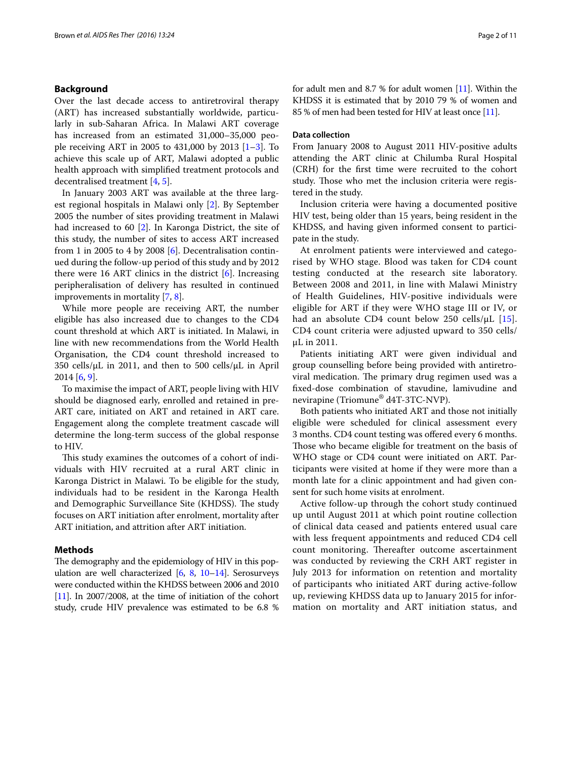# **Background**

Over the last decade access to antiretroviral therapy (ART) has increased substantially worldwide, particularly in sub-Saharan Africa. In Malawi ART coverage has increased from an estimated 31,000–35,000 people receiving ART in 2005 to 431,000 by 2013 [\[1](#page-9-0)[–3](#page-9-1)]. To achieve this scale up of ART, Malawi adopted a public health approach with simplified treatment protocols and decentralised treatment [\[4](#page-9-2), [5\]](#page-9-3).

In January 2003 ART was available at the three largest regional hospitals in Malawi only [\[2](#page-9-4)]. By September 2005 the number of sites providing treatment in Malawi had increased to 60 [[2\]](#page-9-4). In Karonga District, the site of this study, the number of sites to access ART increased from 1 in 2005 to 4 by 2008 [\[6](#page-9-5)]. Decentralisation continued during the follow-up period of this study and by 2012 there were 16 ART clinics in the district [\[6\]](#page-9-5). Increasing peripheralisation of delivery has resulted in continued improvements in mortality [[7,](#page-9-6) [8](#page-10-0)].

While more people are receiving ART, the number eligible has also increased due to changes to the CD4 count threshold at which ART is initiated. In Malawi, in line with new recommendations from the World Health Organisation, the CD4 count threshold increased to 350 cells/ $\mu$ L in 2011, and then to 500 cells/ $\mu$ L in April 2014 [[6,](#page-9-5) [9](#page-10-1)].

To maximise the impact of ART, people living with HIV should be diagnosed early, enrolled and retained in pre-ART care, initiated on ART and retained in ART care. Engagement along the complete treatment cascade will determine the long-term success of the global response to HIV.

This study examines the outcomes of a cohort of individuals with HIV recruited at a rural ART clinic in Karonga District in Malawi. To be eligible for the study, individuals had to be resident in the Karonga Health and Demographic Surveillance Site (KHDSS). The study focuses on ART initiation after enrolment, mortality after ART initiation, and attrition after ART initiation.

# **Methods**

The demography and the epidemiology of HIV in this population are well characterized [\[6,](#page-9-5) [8](#page-10-0), [10](#page-10-2)–[14](#page-10-3)]. Serosurveys were conducted within the KHDSS between 2006 and 2010 [[11](#page-10-4)]. In 2007/2008, at the time of initiation of the cohort study, crude HIV prevalence was estimated to be 6.8 % for adult men and 8.7 % for adult women [\[11\]](#page-10-4). Within the KHDSS it is estimated that by 2010 79 % of women and 85 % of men had been tested for HIV at least once [[11](#page-10-4)].

# **Data collection**

From January 2008 to August 2011 HIV-positive adults attending the ART clinic at Chilumba Rural Hospital (CRH) for the first time were recruited to the cohort study. Those who met the inclusion criteria were registered in the study.

Inclusion criteria were having a documented positive HIV test, being older than 15 years, being resident in the KHDSS, and having given informed consent to participate in the study.

At enrolment patients were interviewed and categorised by WHO stage. Blood was taken for CD4 count testing conducted at the research site laboratory. Between 2008 and 2011, in line with Malawi Ministry of Health Guidelines, HIV-positive individuals were eligible for ART if they were WHO stage III or IV, or had an absolute CD4 count below 250 cells/μL [[15](#page-10-5)]. CD4 count criteria were adjusted upward to 350 cells/ μL in 2011.

Patients initiating ART were given individual and group counselling before being provided with antiretroviral medication. The primary drug regimen used was a fixed-dose combination of stavudine, lamivudine and nevirapine (Triomune® d4T-3TC-NVP).

Both patients who initiated ART and those not initially eligible were scheduled for clinical assessment every 3 months. CD4 count testing was offered every 6 months. Those who became eligible for treatment on the basis of WHO stage or CD4 count were initiated on ART. Participants were visited at home if they were more than a month late for a clinic appointment and had given consent for such home visits at enrolment.

Active follow-up through the cohort study continued up until August 2011 at which point routine collection of clinical data ceased and patients entered usual care with less frequent appointments and reduced CD4 cell count monitoring. Thereafter outcome ascertainment was conducted by reviewing the CRH ART register in July 2013 for information on retention and mortality of participants who initiated ART during active-follow up, reviewing KHDSS data up to January 2015 for information on mortality and ART initiation status, and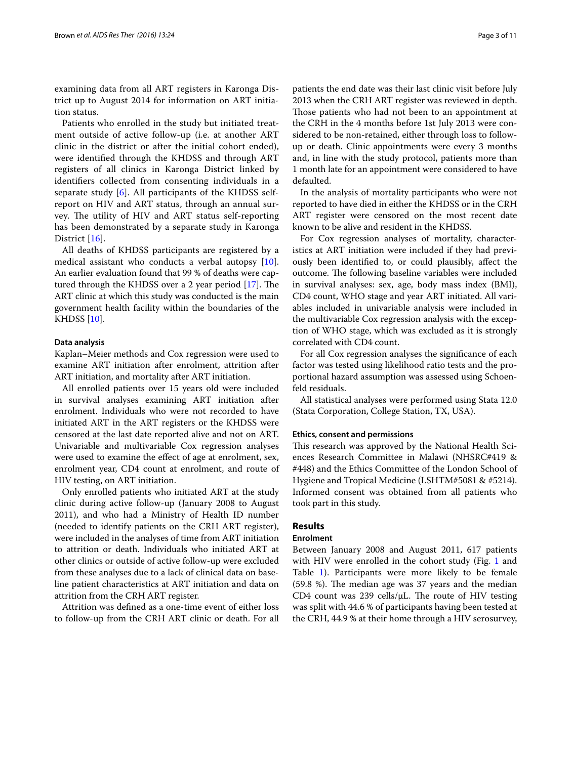examining data from all ART registers in Karonga District up to August 2014 for information on ART initiation status.

Patients who enrolled in the study but initiated treatment outside of active follow-up (i.e. at another ART clinic in the district or after the initial cohort ended), were identified through the KHDSS and through ART registers of all clinics in Karonga District linked by identifiers collected from consenting individuals in a separate study [\[6](#page-9-5)]. All participants of the KHDSS selfreport on HIV and ART status, through an annual survey. The utility of HIV and ART status self-reporting has been demonstrated by a separate study in Karonga District [\[16](#page-10-6)].

All deaths of KHDSS participants are registered by a medical assistant who conducts a verbal autopsy [\[10](#page-10-2)]. An earlier evaluation found that 99 % of deaths were captured through the KHDSS over a 2 year period [[17\]](#page-10-7). The ART clinic at which this study was conducted is the main government health facility within the boundaries of the KHDSS [[10\]](#page-10-2).

# **Data analysis**

Kaplan–Meier methods and Cox regression were used to examine ART initiation after enrolment, attrition after ART initiation, and mortality after ART initiation.

All enrolled patients over 15 years old were included in survival analyses examining ART initiation after enrolment. Individuals who were not recorded to have initiated ART in the ART registers or the KHDSS were censored at the last date reported alive and not on ART. Univariable and multivariable Cox regression analyses were used to examine the effect of age at enrolment, sex, enrolment year, CD4 count at enrolment, and route of HIV testing, on ART initiation.

Only enrolled patients who initiated ART at the study clinic during active follow-up (January 2008 to August 2011), and who had a Ministry of Health ID number (needed to identify patients on the CRH ART register), were included in the analyses of time from ART initiation to attrition or death. Individuals who initiated ART at other clinics or outside of active follow-up were excluded from these analyses due to a lack of clinical data on baseline patient characteristics at ART initiation and data on attrition from the CRH ART register.

Attrition was defined as a one-time event of either loss to follow-up from the CRH ART clinic or death. For all

patients the end date was their last clinic visit before July 2013 when the CRH ART register was reviewed in depth. Those patients who had not been to an appointment at the CRH in the 4 months before 1st July 2013 were considered to be non-retained, either through loss to followup or death. Clinic appointments were every 3 months and, in line with the study protocol, patients more than 1 month late for an appointment were considered to have defaulted.

In the analysis of mortality participants who were not reported to have died in either the KHDSS or in the CRH ART register were censored on the most recent date known to be alive and resident in the KHDSS.

For Cox regression analyses of mortality, characteristics at ART initiation were included if they had previously been identified to, or could plausibly, affect the outcome. The following baseline variables were included in survival analyses: sex, age, body mass index (BMI), CD4 count, WHO stage and year ART initiated. All variables included in univariable analysis were included in the multivariable Cox regression analysis with the exception of WHO stage, which was excluded as it is strongly correlated with CD4 count.

For all Cox regression analyses the significance of each factor was tested using likelihood ratio tests and the proportional hazard assumption was assessed using Schoenfeld residuals.

All statistical analyses were performed using Stata 12.0 (Stata Corporation, College Station, TX, USA).

# **Ethics, consent and permissions**

This research was approved by the National Health Sciences Research Committee in Malawi (NHSRC#419 & #448) and the Ethics Committee of the London School of Hygiene and Tropical Medicine (LSHTM#5081 & #5214). Informed consent was obtained from all patients who took part in this study.

# **Results**

# **Enrolment**

Between January 2008 and August 2011, 617 patients with HIV were enrolled in the cohort study (Fig. [1](#page-3-0) and Table [1](#page-4-0)). Participants were more likely to be female (59.8 %). The median age was 37 years and the median CD4 count was 239 cells/μL. The route of HIV testing was split with 44.6 % of participants having been tested at the CRH, 44.9 % at their home through a HIV serosurvey,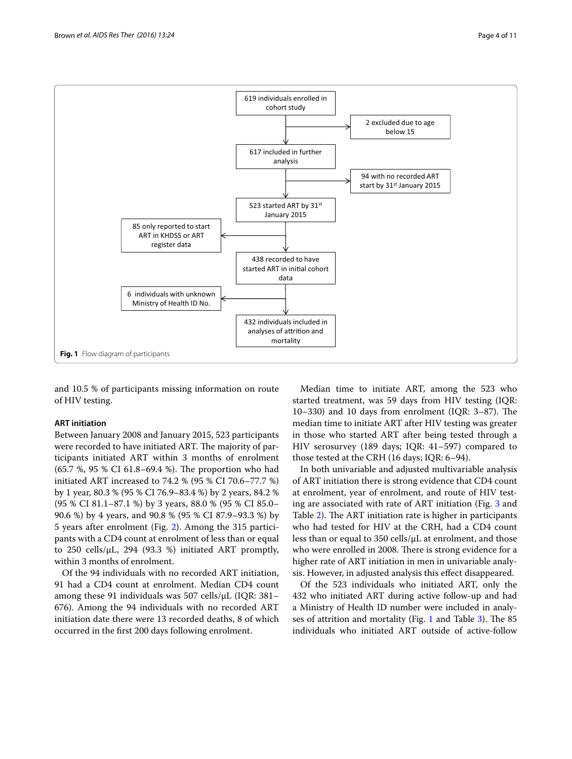

<span id="page-3-0"></span>and 10.5 % of participants missing information on route of HIV testing.

# **ART initiation**

Between January 2008 and January 2015, 523 participants were recorded to have initiated ART. The majority of participants initiated ART within 3 months of enrolment (65.7 %, 95 % CI 61.8–69.4 %). The proportion who had initiated ART increased to 74.2 % (95 % CI 70.6–77.7 %) by 1 year, 80.3 % (95 % CI 76.9–83.4 %) by 2 years, 84.2 % (95 % CI 81.1–87.1 %) by 3 years, 88.0 % (95 % CI 85.0– 90.6 %) by 4 years, and 90.8 % (95 % CI 87.9–93.3 %) by 5 years after enrolment (Fig. [2](#page-5-0)). Among the 315 participants with a CD4 count at enrolment of less than or equal to 250 cells/ $\mu$ L, 294 (93.3 %) initiated ART promptly, within 3 months of enrolment.

Of the 94 individuals with no recorded ART initiation, 91 had a CD4 count at enrolment. Median CD4 count among these 91 individuals was 507 cells/μL (IQR: 381– 676). Among the 94 individuals with no recorded ART initiation date there were 13 recorded deaths, 8 of which occurred in the first 200 days following enrolment.

Median time to initiate ART, among the 523 who started treatment, was 59 days from HIV testing (IQR: 10–330) and 10 days from enrolment (IQR: 3–87). The median time to initiate ART after HIV testing was greater in those who started ART after being tested through a HIV serosurvey (189 days; IQR: 41–597) compared to those tested at the CRH (16 days; IQR: 6–94).

In both univariable and adjusted multivariable analysis of ART initiation there is strong evidence that CD4 count at enrolment, year of enrolment, and route of HIV testing are associated with rate of ART initiation (Fig. [3](#page-5-1) and Table [2](#page-6-0)). The ART initiation rate is higher in participants who had tested for HIV at the CRH, had a CD4 count less than or equal to 350 cells/μL at enrolment, and those who were enrolled in 2008. There is strong evidence for a higher rate of ART initiation in men in univariable analysis. However, in adjusted analysis this effect disappeared.

Of the 523 individuals who initiated ART, only the 432 who initiated ART during active follow-up and had a Ministry of Health ID number were included in analyses of attrition and mortality (Fig. [1](#page-3-0) and Table [3](#page-7-0)). The 85 individuals who initiated ART outside of active-follow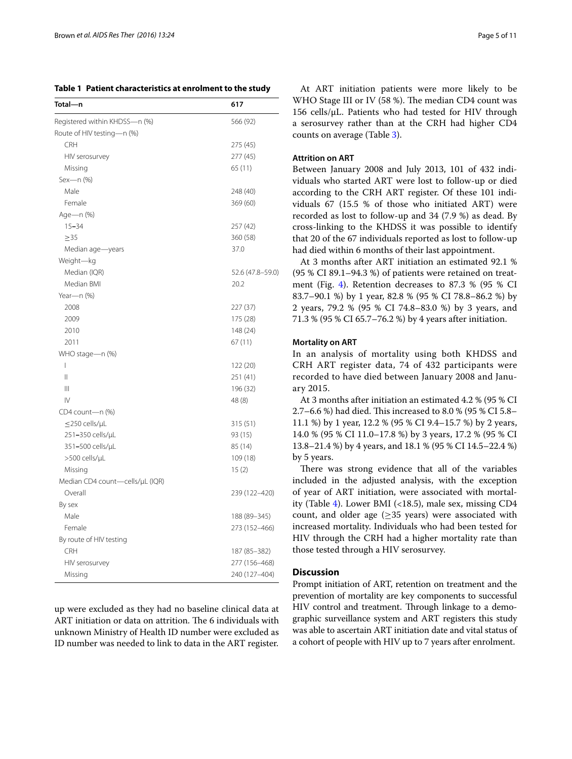<span id="page-4-0"></span>**Table 1 Patient characteristics at enrolment to the study**

| Total—n                         | 617              |
|---------------------------------|------------------|
| Registered within KHDSS-n (%)   | 566 (92)         |
| Route of HIV testing—n (%)      |                  |
| <b>CRH</b>                      | 275 (45)         |
| HIV serosurvey                  | 277 (45)         |
| Missing                         | 65 (11)          |
| Sex-n (%)                       |                  |
| Male                            | 248 (40)         |
| Female                          | 369 (60)         |
| Age-n (%)                       |                  |
| $15 - 34$                       | 257 (42)         |
| $\geq$ 35                       | 360 (58)         |
| Median age-years                | 37.0             |
| Weight-kg                       |                  |
| Median (IQR)                    | 52.6 (47.8-59.0) |
| Median BMI                      | 20.2             |
| Year-n (%)                      |                  |
| 2008                            | 227 (37)         |
| 2009                            | 175 (28)         |
| 2010                            | 148 (24)         |
| 2011                            | 67 (11)          |
| WHO stage-n (%)                 |                  |
| I                               | 122 (20)         |
| $\mathsf{II}$                   | 251 (41)         |
| Ш                               | 196 (32)         |
| IV                              | 48 (8)           |
| CD4 count-n (%)                 |                  |
| $\leq$ 250 cells/µL             | 315 (51)         |
| 251-350 cells/µL                | 93 (15)          |
| 351-500 cells/µL                | 85 (14)          |
| >500 cells/µL                   | 109 (18)         |
| Missing                         | 15(2)            |
| Median CD4 count-cells/µL (IQR) |                  |
| Overall                         | 239 (122–420)    |
| By sex                          |                  |
| Male                            | 188 (89 - 345)   |
| Female                          | 273 (152-466)    |
| By route of HIV testing         |                  |
| <b>CRH</b>                      | 187 (85 - 382)   |
| HIV serosurvey                  | 277 (156-468)    |
| Missing                         | 240 (127-404)    |

up were excluded as they had no baseline clinical data at ART initiation or data on attrition. The 6 individuals with unknown Ministry of Health ID number were excluded as ID number was needed to link to data in the ART register.

At ART initiation patients were more likely to be WHO Stage III or IV (58 %). The median CD4 count was 156 cells/μL. Patients who had tested for HIV through a serosurvey rather than at the CRH had higher CD4 counts on average (Table [3](#page-7-0)).

# **Attrition on ART**

Between January 2008 and July 2013, 101 of 432 individuals who started ART were lost to follow-up or died according to the CRH ART register. Of these 101 individuals 67 (15.5 % of those who initiated ART) were recorded as lost to follow-up and 34 (7.9 %) as dead. By cross-linking to the KHDSS it was possible to identify that 20 of the 67 individuals reported as lost to follow-up had died within 6 months of their last appointment.

At 3 months after ART initiation an estimated 92.1 % (95 % CI 89.1–94.3 %) of patients were retained on treatment (Fig. [4](#page-8-0)). Retention decreases to 87.3 % (95 % CI 83.7–90.1 %) by 1 year, 82.8 % (95 % CI 78.8–86.2 %) by 2 years, 79.2 % (95 % CI 74.8–83.0 %) by 3 years, and 71.3 % (95 % CI 65.7–76.2 %) by 4 years after initiation.

## **Mortality on ART**

In an analysis of mortality using both KHDSS and CRH ART register data, 74 of 432 participants were recorded to have died between January 2008 and January 2015.

At 3 months after initiation an estimated 4.2 % (95 % CI 2.7–6.6 %) had died. This increased to 8.0 % (95 % CI 5.8– 11.1 %) by 1 year, 12.2 % (95 % CI 9.4–15.7 %) by 2 years, 14.0 % (95 % CI 11.0–17.8 %) by 3 years, 17.2 % (95 % CI 13.8–21.4 %) by 4 years, and 18.1 % (95 % CI 14.5–22.4 %) by 5 years.

There was strong evidence that all of the variables included in the adjusted analysis, with the exception of year of ART initiation, were associated with mortality (Table [4\)](#page-9-7). Lower BMI (<18.5), male sex, missing CD4 count, and older age  $(\geq 35$  years) were associated with increased mortality. Individuals who had been tested for HIV through the CRH had a higher mortality rate than those tested through a HIV serosurvey.

# **Discussion**

Prompt initiation of ART, retention on treatment and the prevention of mortality are key components to successful HIV control and treatment. Through linkage to a demographic surveillance system and ART registers this study was able to ascertain ART initiation date and vital status of a cohort of people with HIV up to 7 years after enrolment.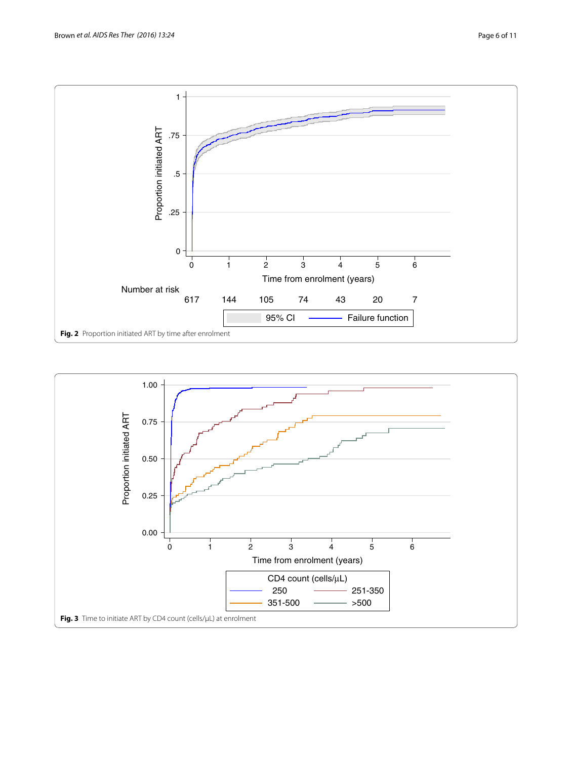

<span id="page-5-1"></span><span id="page-5-0"></span>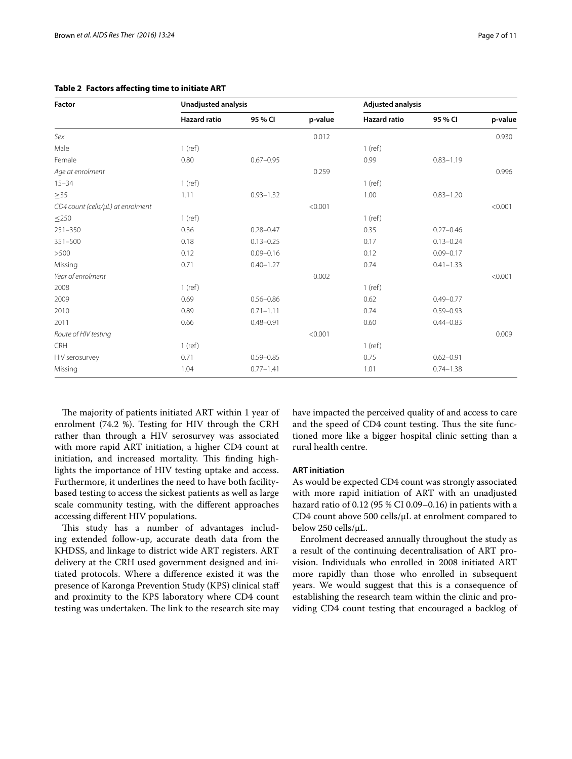| <b>Factor</b>                     | Unadjusted analysis |               |         | <b>Adjusted analysis</b> |               |         |
|-----------------------------------|---------------------|---------------|---------|--------------------------|---------------|---------|
|                                   | <b>Hazard ratio</b> | 95 % CI       | p-value | <b>Hazard ratio</b>      | 95 % CI       | p-value |
| Sex                               |                     |               | 0.012   |                          |               | 0.930   |
| Male                              | $1$ (ref)           |               |         | $1$ (ref)                |               |         |
| Female                            | 0.80                | $0.67 - 0.95$ |         | 0.99                     | $0.83 - 1.19$ |         |
| Age at enrolment                  |                     |               | 0.259   |                          |               | 0.996   |
| $15 - 34$                         | $1$ (ref)           |               |         | $1$ (ref)                |               |         |
| $\geq$ 35                         | 1.11                | $0.93 - 1.32$ |         | 1.00                     | $0.83 - 1.20$ |         |
| CD4 count (cells/µL) at enrolment |                     |               | < 0.001 |                          |               | < 0.001 |
| $\leq$ 250                        | $1$ (ref)           |               |         | $1$ (ref)                |               |         |
| $251 - 350$                       | 0.36                | $0.28 - 0.47$ |         | 0.35                     | $0.27 - 0.46$ |         |
| $351 - 500$                       | 0.18                | $0.13 - 0.25$ |         | 0.17                     | $0.13 - 0.24$ |         |
| >500                              | 0.12                | $0.09 - 0.16$ |         | 0.12                     | $0.09 - 0.17$ |         |
| Missing                           | 0.71                | $0.40 - 1.27$ |         | 0.74                     | $0.41 - 1.33$ |         |
| Year of enrolment                 |                     |               | 0.002   |                          |               | < 0.001 |
| 2008                              | $1$ (ref)           |               |         | $1$ (ref)                |               |         |
| 2009                              | 0.69                | $0.56 - 0.86$ |         | 0.62                     | $0.49 - 0.77$ |         |
| 2010                              | 0.89                | $0.71 - 1.11$ |         | 0.74                     | $0.59 - 0.93$ |         |
| 2011                              | 0.66                | $0.48 - 0.91$ |         | 0.60                     | $0.44 - 0.83$ |         |
| Route of HIV testing              |                     |               | < 0.001 |                          |               | 0.009   |
| <b>CRH</b>                        | $1$ (ref)           |               |         | $1$ (ref)                |               |         |
| HIV serosurvey                    | 0.71                | $0.59 - 0.85$ |         | 0.75                     | $0.62 - 0.91$ |         |
| Missing                           | 1.04                | $0.77 - 1.41$ |         | 1.01                     | $0.74 - 1.38$ |         |

<span id="page-6-0"></span>**Table 2 Factors affecting time to initiate ART**

The majority of patients initiated ART within 1 year of enrolment (74.2 %). Testing for HIV through the CRH rather than through a HIV serosurvey was associated with more rapid ART initiation, a higher CD4 count at initiation, and increased mortality. This finding highlights the importance of HIV testing uptake and access. Furthermore, it underlines the need to have both facilitybased testing to access the sickest patients as well as large scale community testing, with the different approaches accessing different HIV populations.

This study has a number of advantages including extended follow-up, accurate death data from the KHDSS, and linkage to district wide ART registers. ART delivery at the CRH used government designed and initiated protocols. Where a difference existed it was the presence of Karonga Prevention Study (KPS) clinical staff and proximity to the KPS laboratory where CD4 count testing was undertaken. The link to the research site may have impacted the perceived quality of and access to care and the speed of CD4 count testing. Thus the site functioned more like a bigger hospital clinic setting than a rural health centre.

# **ART initiation**

As would be expected CD4 count was strongly associated with more rapid initiation of ART with an unadjusted hazard ratio of 0.12 (95 % CI 0.09–0.16) in patients with a CD4 count above 500 cells/μL at enrolment compared to below 250 cells/μL.

Enrolment decreased annually throughout the study as a result of the continuing decentralisation of ART provision. Individuals who enrolled in 2008 initiated ART more rapidly than those who enrolled in subsequent years. We would suggest that this is a consequence of establishing the research team within the clinic and providing CD4 count testing that encouraged a backlog of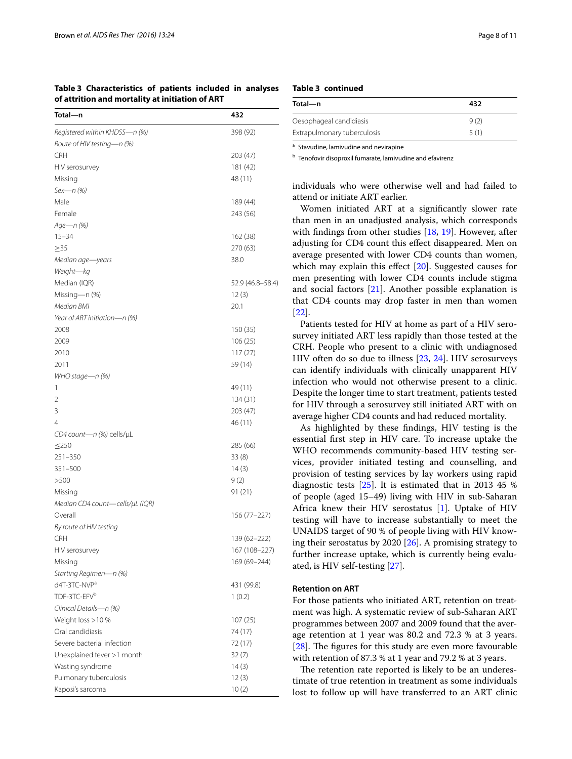<span id="page-7-0"></span>

|                                                 | Table 3 Characteristics of patients included in analyses |  |  |  |  |  |
|-------------------------------------------------|----------------------------------------------------------|--|--|--|--|--|
| of attrition and mortality at initiation of ART |                                                          |  |  |  |  |  |

| Total-n                         | 432              |
|---------------------------------|------------------|
| Registered within KHDSS-n (%)   | 398 (92)         |
| Route of HIV testing-n (%)      |                  |
| CRH                             | 203 (47)         |
| HIV serosurvey                  | 181 (42)         |
| Missing                         | 48 (11)          |
| Sex-n (%)                       |                  |
| Male                            | 189 (44)         |
| Female                          | 243 (56)         |
| Age—n (%)                       |                  |
| $15 - 34$                       | 162 (38)         |
| $\geq$ 35                       | 270 (63)         |
| Median age—years                | 38.0             |
| Weight-kg                       |                  |
| Median (IQR)                    | 52.9 (46.8–58.4) |
| Missing-n (%)                   | 12(3)            |
| Median BMI                      | 20.1             |
| Year of ART initiation-n (%)    |                  |
| 2008                            | 150 (35)         |
| 2009                            | 106 (25)         |
| 2010                            | 117(27)          |
| 2011                            | 59 (14)          |
| WHO stage—n (%)                 |                  |
| 1                               | 49 (11)          |
| 2                               | 134 (31)         |
| 3                               | 203 (47)         |
| 4                               | 46 (11)          |
| CD4 count-n (%) cells/µL        |                  |
| $\leq$ 250                      | 285 (66)         |
| $251 - 350$                     | 33(8)            |
| $351 - 500$                     | 14(3)            |
| >500                            | 9(2)             |
| Missing                         | 91 (21)          |
| Median CD4 count-cells/µL (IQR) |                  |
| Overall                         | 156 (77–227)     |
| By route of HIV testing         |                  |
| CRH                             | 139 (62–222)     |
| HIV serosurvey                  | 167 (108-227)    |
| Missing                         | 169 (69-244)     |
| Starting Regimen-n (%)          |                  |
| d4T-3TC-NVP <sup>a</sup>        | 431 (99.8)       |
| TDF-3TC-EFV <sup>b</sup>        | 1(0.2)           |
| Clinical Details-n (%)          |                  |
| Weight loss >10 %               | 107(25)          |
| Oral candidiasis                | 74 (17)          |
| Severe bacterial infection      | 72 (17)          |
| Unexplained fever >1 month      | 32(7)            |
| Wasting syndrome                | 14(3)            |
| Pulmonary tuberculosis          | 12(3)            |
| Kaposi's sarcoma                | 10(2)            |

# **Table 3 continued**

| Total-n                     | 432  |
|-----------------------------|------|
| Oesophageal candidiasis     | 9(2) |
| Extrapulmonary tuberculosis | 5(1) |

<sup>a</sup> Stavudine, lamivudine and nevirapine

**b** Tenofovir disoproxil fumarate, lamivudine and efavirenz

individuals who were otherwise well and had failed to attend or initiate ART earlier.

Women initiated ART at a significantly slower rate than men in an unadjusted analysis, which corresponds with findings from other studies [[18,](#page-10-8) [19\]](#page-10-9). However, after adjusting for CD4 count this effect disappeared. Men on average presented with lower CD4 counts than women, which may explain this effect [[20\]](#page-10-10). Suggested causes for men presenting with lower CD4 counts include stigma and social factors [\[21\]](#page-10-11). Another possible explanation is that CD4 counts may drop faster in men than women [[22\]](#page-10-12).

Patients tested for HIV at home as part of a HIV serosurvey initiated ART less rapidly than those tested at the CRH. People who present to a clinic with undiagnosed HIV often do so due to illness [\[23](#page-10-13), [24](#page-10-14)]. HIV serosurveys can identify individuals with clinically unapparent HIV infection who would not otherwise present to a clinic. Despite the longer time to start treatment, patients tested for HIV through a serosurvey still initiated ART with on average higher CD4 counts and had reduced mortality.

As highlighted by these findings, HIV testing is the essential first step in HIV care. To increase uptake the WHO recommends community-based HIV testing services, provider initiated testing and counselling, and provision of testing services by lay workers using rapid diagnostic tests [[25\]](#page-10-15). It is estimated that in 2013 45 % of people (aged 15–49) living with HIV in sub-Saharan Africa knew their HIV serostatus [\[1](#page-9-0)]. Uptake of HIV testing will have to increase substantially to meet the UNAIDS target of 90 % of people living with HIV knowing their serostatus by 2020 [[26](#page-10-16)]. A promising strategy to further increase uptake, which is currently being evaluated, is HIV self-testing [\[27](#page-10-17)].

# **Retention on ART**

For those patients who initiated ART, retention on treatment was high. A systematic review of sub-Saharan ART programmes between 2007 and 2009 found that the average retention at 1 year was 80.2 and 72.3 % at 3 years. [[28\]](#page-10-18). The figures for this study are even more favourable with retention of 87.3 % at 1 year and 79.2 % at 3 years.

The retention rate reported is likely to be an underestimate of true retention in treatment as some individuals lost to follow up will have transferred to an ART clinic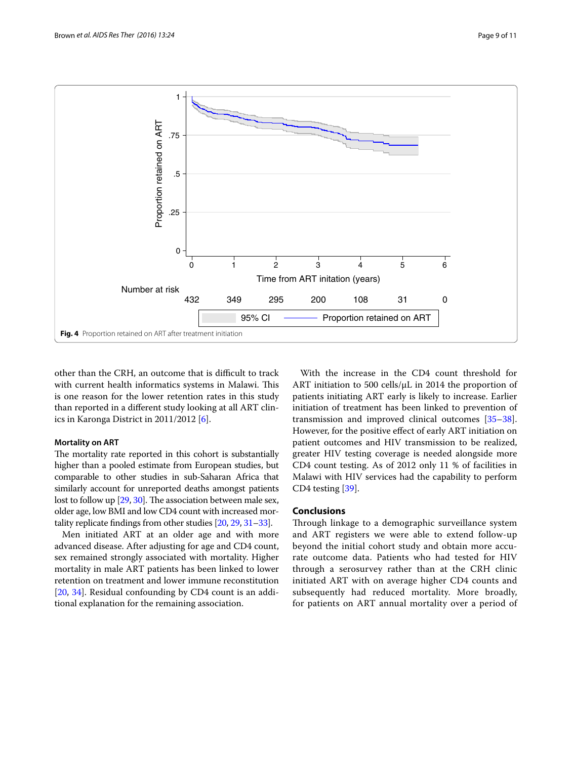

<span id="page-8-0"></span>other than the CRH, an outcome that is difficult to track with current health informatics systems in Malawi. This is one reason for the lower retention rates in this study than reported in a different study looking at all ART clinics in Karonga District in 2011/2012 [[6](#page-9-5)].

# **Mortality on ART**

The mortality rate reported in this cohort is substantially higher than a pooled estimate from European studies, but comparable to other studies in sub-Saharan Africa that similarly account for unreported deaths amongst patients lost to follow up [\[29,](#page-10-19) [30](#page-10-20)]. The association between male sex, older age, low BMI and low CD4 count with increased mortality replicate findings from other studies [\[20,](#page-10-10) [29,](#page-10-19) [31](#page-10-21)[–33\]](#page-10-22).

Men initiated ART at an older age and with more advanced disease. After adjusting for age and CD4 count, sex remained strongly associated with mortality. Higher mortality in male ART patients has been linked to lower retention on treatment and lower immune reconstitution [[20,](#page-10-10) [34\]](#page-10-23). Residual confounding by CD4 count is an additional explanation for the remaining association.

With the increase in the CD4 count threshold for ART initiation to 500 cells/μL in 2014 the proportion of patients initiating ART early is likely to increase. Earlier initiation of treatment has been linked to prevention of transmission and improved clinical outcomes [[35](#page-10-24)[–38](#page-10-25)]. However, for the positive effect of early ART initiation on patient outcomes and HIV transmission to be realized, greater HIV testing coverage is needed alongside more CD4 count testing. As of 2012 only 11 % of facilities in Malawi with HIV services had the capability to perform CD4 testing [\[39\]](#page-10-26).

# **Conclusions**

Through linkage to a demographic surveillance system and ART registers we were able to extend follow-up beyond the initial cohort study and obtain more accurate outcome data. Patients who had tested for HIV through a serosurvey rather than at the CRH clinic initiated ART with on average higher CD4 counts and subsequently had reduced mortality. More broadly, for patients on ART annual mortality over a period of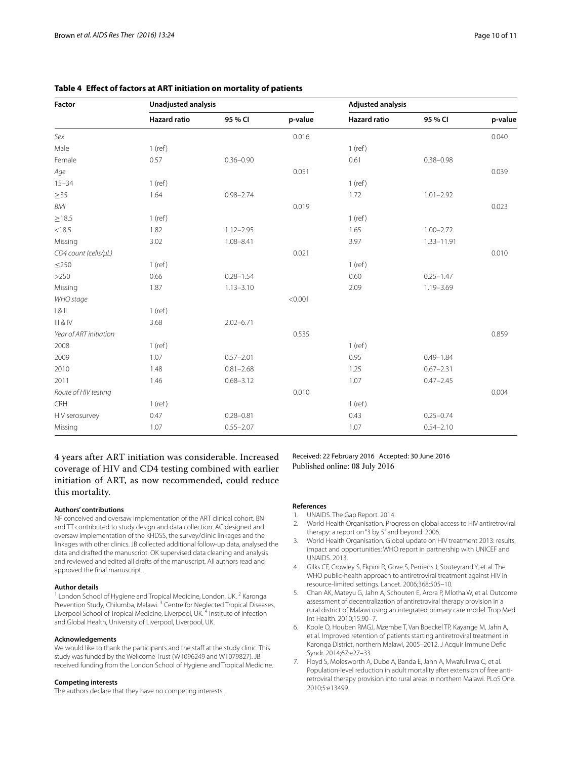| <b>Factor</b>          | Unadjusted analysis |               |         | <b>Adjusted analysis</b> |               |         |  |
|------------------------|---------------------|---------------|---------|--------------------------|---------------|---------|--|
|                        | <b>Hazard ratio</b> | 95 % CI       | p-value | <b>Hazard ratio</b>      | 95 % CI       | p-value |  |
| Sex                    |                     |               | 0.016   |                          |               | 0.040   |  |
| Male                   | $1$ (ref)           |               |         | $1$ (ref)                |               |         |  |
| Female                 | 0.57                | $0.36 - 0.90$ |         | 0.61                     | $0.38 - 0.98$ |         |  |
| Age                    |                     |               | 0.051   |                          |               | 0.039   |  |
| $15 - 34$              | $1$ (ref)           |               |         | $1$ (ref)                |               |         |  |
| $\geq 35$              | 1.64                | $0.98 - 2.74$ |         | 1.72                     | $1.01 - 2.92$ |         |  |
| BMI                    |                     |               | 0.019   |                          |               | 0.023   |  |
| $\geq$ 18.5            | $1$ (ref)           |               |         | $1$ (ref)                |               |         |  |
| < 18.5                 | 1.82                | $1.12 - 2.95$ |         | 1.65                     | $1.00 - 2.72$ |         |  |
| Missing                | 3.02                | $1.08 - 8.41$ |         | 3.97                     | 1.33-11.91    |         |  |
| CD4 count (cells/µL)   |                     |               | 0.021   |                          |               | 0.010   |  |
| $\leq$ 250             | $1$ (ref)           |               |         | $1$ (ref)                |               |         |  |
| >250                   | 0.66                | $0.28 - 1.54$ |         | 0.60                     | $0.25 - 1.47$ |         |  |
| Missing                | 1.87                | $1.13 - 3.10$ |         | 2.09                     | $1.19 - 3.69$ |         |  |
| WHO stage              |                     |               | < 0.001 |                          |               |         |  |
| 1 & 11                 | $1$ (ref)           |               |         |                          |               |         |  |
| III & IV               | 3.68                | $2.02 - 6.71$ |         |                          |               |         |  |
| Year of ART initiation |                     |               | 0.535   |                          |               | 0.859   |  |
| 2008                   | $1$ (ref)           |               |         | $1$ (ref)                |               |         |  |
| 2009                   | 1.07                | $0.57 - 2.01$ |         | 0.95                     | $0.49 - 1.84$ |         |  |
| 2010                   | 1.48                | $0.81 - 2.68$ |         | 1.25                     | $0.67 - 2.31$ |         |  |
| 2011                   | 1.46                | $0.68 - 3.12$ |         | 1.07                     | $0.47 - 2.45$ |         |  |
| Route of HIV testing   |                     |               | 0.010   |                          |               | 0.004   |  |
| CRH                    | $1$ (ref)           |               |         | $1$ (ref)                |               |         |  |
| HIV serosurvey         | 0.47                | $0.28 - 0.81$ |         | 0.43                     | $0.25 - 0.74$ |         |  |
| Missing                | 1.07                | $0.55 - 2.07$ |         | 1.07                     | $0.54 - 2.10$ |         |  |

# <span id="page-9-7"></span>**Table 4 Effect of factors at ART initiation on mortality of patients**

4 years after ART initiation was considerable. Increased coverage of HIV and CD4 testing combined with earlier initiation of ART, as now recommended, could reduce this mortality.

#### **Authors' contributions**

NF conceived and oversaw implementation of the ART clinical cohort. BN and TT contributed to study design and data collection. AC designed and oversaw implementation of the KHDSS, the survey/clinic linkages and the linkages with other clinics. JB collected additional follow-up data, analysed the data and drafted the manuscript. OK supervised data cleaning and analysis and reviewed and edited all drafts of the manuscript. All authors read and approved the final manuscript.

#### **Author details**

London School of Hygiene and Tropical Medicine, London, UK.<sup>2</sup> Karonga Prevention Study, Chilumba, Malawi. 3 Centre for Neglected Tropical Diseases, Liverpool School of Tropical Medicine, Liverpool, UK. 4 Institute of Infection and Global Health, University of Liverpool, Liverpool, UK.

#### **Acknowledgements**

We would like to thank the participants and the staff at the study clinic. This study was funded by the Wellcome Trust (WT096249 and WT079827). JB received funding from the London School of Hygiene and Tropical Medicine.

#### **Competing interests**

The authors declare that they have no competing interests.

Received: 22 February 2016 Accepted: 30 June 2016 Published online: 08 July 2016

#### **References**

- <span id="page-9-0"></span>1. UNAIDS. The Gap Report. 2014.
- <span id="page-9-4"></span>2. World Health Organisation. Progress on global access to HIV antiretroviral therapy: a report on "3 by 5" and beyond. 2006.
- <span id="page-9-1"></span>3. World Health Organisation. Global update on HIV treatment 2013: results, impact and opportunities: WHO report in partnership with UNICEF and UNAIDS. 2013.
- <span id="page-9-2"></span>4. Gilks CF, Crowley S, Ekpini R, Gove S, Perriens J, Souteyrand Y, et al. The WHO public-health approach to antiretroviral treatment against HIV in resource-limited settings. Lancet. 2006;368:505–10.
- <span id="page-9-3"></span>5. Chan AK, Mateyu G, Jahn A, Schouten E, Arora P, Mlotha W, et al. Outcome assessment of decentralization of antiretroviral therapy provision in a rural district of Malawi using an integrated primary care model. Trop Med Int Health. 2010;15:90–7.
- <span id="page-9-5"></span>6. Koole O, Houben RMGJ, Mzembe T, Van Boeckel TP, Kayange M, Jahn A, et al. Improved retention of patients starting antiretroviral treatment in Karonga District, northern Malawi, 2005–2012. J Acquir Immune Defic Syndr. 2014;67:e27–33.
- <span id="page-9-6"></span>7. Floyd S, Molesworth A, Dube A, Banda E, Jahn A, Mwafulirwa C, et al. Population-level reduction in adult mortality after extension of free antiretroviral therapy provision into rural areas in northern Malawi. PLoS One. 2010;5:e13499.